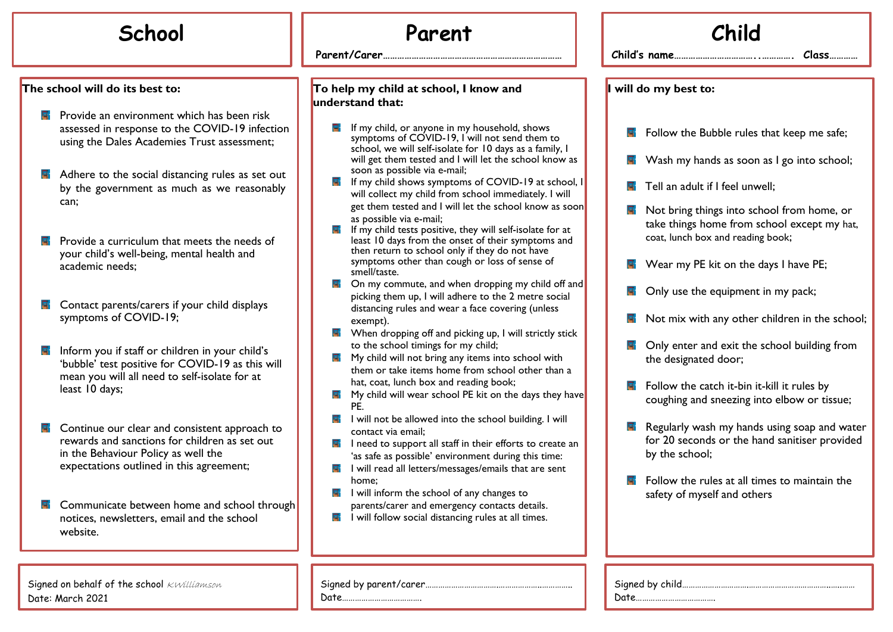## **The school will do its best to:**

- **R** Provide an environment which has been risk assessed in response to the COVID-19 infection using the Dales Academies Trust assessment;
- $\blacksquare$  Adhere to the social distancing rules as set out by the government as much as we reasonably can;
- $\blacksquare$  Provide a curriculum that meets the needs of your child's well-being, mental health and academic needs;
- 닼 Contact parents/carers if your child displays symptoms of COVID-19;
- Inform you if staff or children in your child's 'bubble' test positive for COVID-19 as this will mean you will all need to self-isolate for at least 10 days;
- Continue our clear and consistent approach to 닼 rewards and sanctions for children as set out in the Behaviour Policy as well the expectations outlined in this agreement;
- 닼 Communicate between home and school through notices, newsletters, email and the school website.

Signed on behalf of the school KWilliamson Date: March 2021

## **School Parent**

**…**

**Parent/Carer…………………………………………………………………**

## **To help my child at school, I know and understand that:**

- $\blacksquare$  If my child, or anyone in my household, shows symptoms of COVID-19, I will not send them to school, we will self-isolate for 10 days as a family, I will get them tested and I will let the school know as soon as possible via e-mail;
- $\blacksquare$  If my child shows symptoms of COVID-19 at school will collect my child from school immediately. I will get them tested and I will let the school know as soot as possible via e-mail;
- If my child tests positive, they will self-isolate for at least 10 days from the onset of their symptoms and then return to school only if they do not have symptoms other than cough or loss of sense of smell/taste.
- $\blacksquare$  On my commute, and when dropping my child off an picking them up, I will adhere to the 2 metre social distancing rules and wear a face covering (unless exempt).
- $\blacksquare$  When dropping off and picking up, I will strictly stick to the school timings for my child;
- $\blacksquare$  My child will not bring any items into school with them or take items home from school other than a hat, coat, lunch box and reading book;
- $\blacksquare$  My child will wear school PE kit on the days they have PE.
- $\blacksquare$  I will not be allowed into the school building. I will contact via email;
- **F** I need to support all staff in their efforts to create an 'as safe as possible' environment during this time:
- $\blacksquare$  I will read all letters/messages/emails that are sent home;
- $\blacksquare$  I will inform the school of any changes to parents/carer and emergency contacts details.
- $\blacksquare$  I will follow social distancing rules at all times.

| Child                 |                                                                                                                                         |  |  |
|-----------------------|-----------------------------------------------------------------------------------------------------------------------------------------|--|--|
|                       | Child's name<br>Class                                                                                                                   |  |  |
| I will do my best to: |                                                                                                                                         |  |  |
| ы.                    | Follow the Bubble rules that keep me safe;                                                                                              |  |  |
|                       | Wash my hands as soon as I go into school;                                                                                              |  |  |
|                       | Tell an adult if I feel unwell;                                                                                                         |  |  |
|                       | <b>E</b> Not bring things into school from home, or<br>take things home from school except my hat,<br>coat, lunch box and reading book; |  |  |
| a.                    | Wear my PE kit on the days I have PE;                                                                                                   |  |  |
|                       | Only use the equipment in my pack;                                                                                                      |  |  |
|                       | Not mix with any other children in the school;                                                                                          |  |  |
| a.                    | Only enter and exit the school building from<br>the designated door;                                                                    |  |  |
| a.                    | Follow the catch it-bin it-kill it rules by<br>coughing and sneezing into elbow or tissue;                                              |  |  |
|                       | Regularly wash my hands using soap and water<br>for 20 seconds or the hand sanitiser provided<br>by the school;                         |  |  |
| щ.                    | Follow the rules at all times to maintain the<br>safety of myself and others                                                            |  |  |
|                       |                                                                                                                                         |  |  |
|                       |                                                                                                                                         |  |  |

Signed by child………………………….………………………………..…..……

Date……………………………….

|--|--|

Date……………………………….